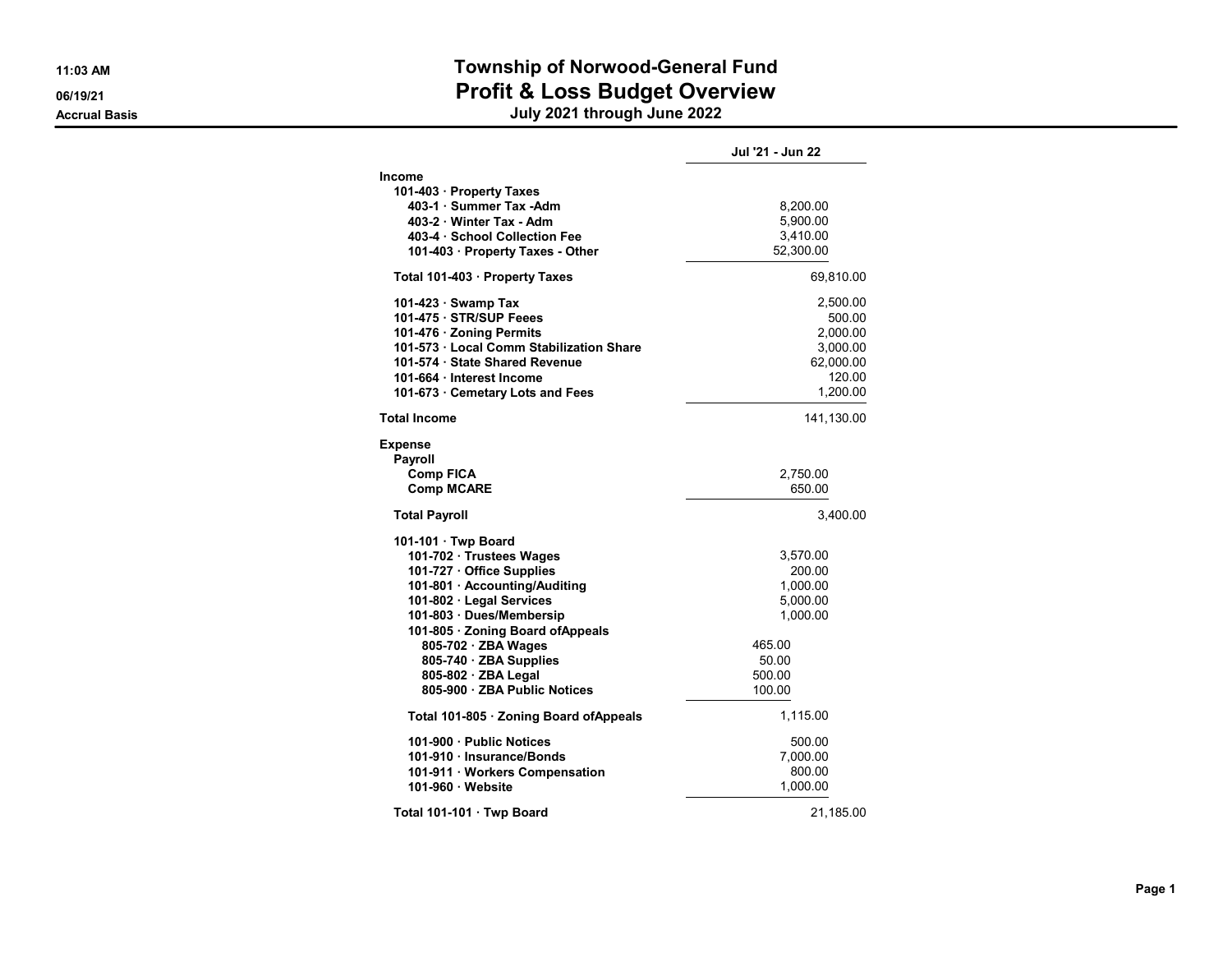# 11:03 AM Township of Norwood-General Fund 06/19/21 **Profit & Loss Budget Overview** Profit & Loss Budget Overview

|                                                                                                                                                                                                                                                                                                                    | Jul '21 - Jun 22                                                                              |
|--------------------------------------------------------------------------------------------------------------------------------------------------------------------------------------------------------------------------------------------------------------------------------------------------------------------|-----------------------------------------------------------------------------------------------|
| <b>Income</b><br>101-403 · Property Taxes<br>403-1 · Summer Tax -Adm<br>403-2 Winter Tax - Adm<br>403-4 · School Collection Fee<br>101-403 · Property Taxes - Other                                                                                                                                                | 8,200.00<br>5,900.00<br>3,410.00<br>52,300.00                                                 |
| Total 101-403 · Property Taxes                                                                                                                                                                                                                                                                                     | 69,810.00                                                                                     |
| 101-423 · Swamp Tax<br>101-475 · STR/SUP Feees<br>101-476 · Zoning Permits<br>101-573 · Local Comm Stabilization Share<br>101-574 · State Shared Revenue<br>101-664 · Interest Income<br>101-673 · Cemetary Lots and Fees                                                                                          | 2,500.00<br>500.00<br>2,000.00<br>3,000.00<br>62,000.00<br>120.00<br>1,200.00                 |
| <b>Total Income</b>                                                                                                                                                                                                                                                                                                | 141,130.00                                                                                    |
| <b>Expense</b><br>Payroll<br><b>Comp FICA</b><br><b>Comp MCARE</b>                                                                                                                                                                                                                                                 | 2,750.00<br>650.00                                                                            |
| <b>Total Payroll</b>                                                                                                                                                                                                                                                                                               | 3,400.00                                                                                      |
| 101-101 · Twp Board<br>101-702 · Trustees Wages<br>101-727 · Office Supplies<br>101-801 · Accounting/Auditing<br>101-802 · Legal Services<br>101-803 · Dues/Membersip<br>101-805 · Zoning Board of Appeals<br>805-702 · ZBA Wages<br>805-740 · ZBA Supplies<br>805-802 · ZBA Legal<br>805-900 · ZBA Public Notices | 3,570.00<br>200.00<br>1,000.00<br>5,000.00<br>1,000.00<br>465.00<br>50.00<br>500.00<br>100.00 |
| Total 101-805 · Zoning Board of Appeals                                                                                                                                                                                                                                                                            | 1,115.00                                                                                      |
| 101-900 Public Notices<br>101-910 · Insurance/Bonds<br>101-911 · Workers Compensation<br>101-960 · Website                                                                                                                                                                                                         | 500.00<br>7,000.00<br>800.00<br>1,000.00                                                      |
| Total 101-101 · Twp Board                                                                                                                                                                                                                                                                                          | 21,185.00                                                                                     |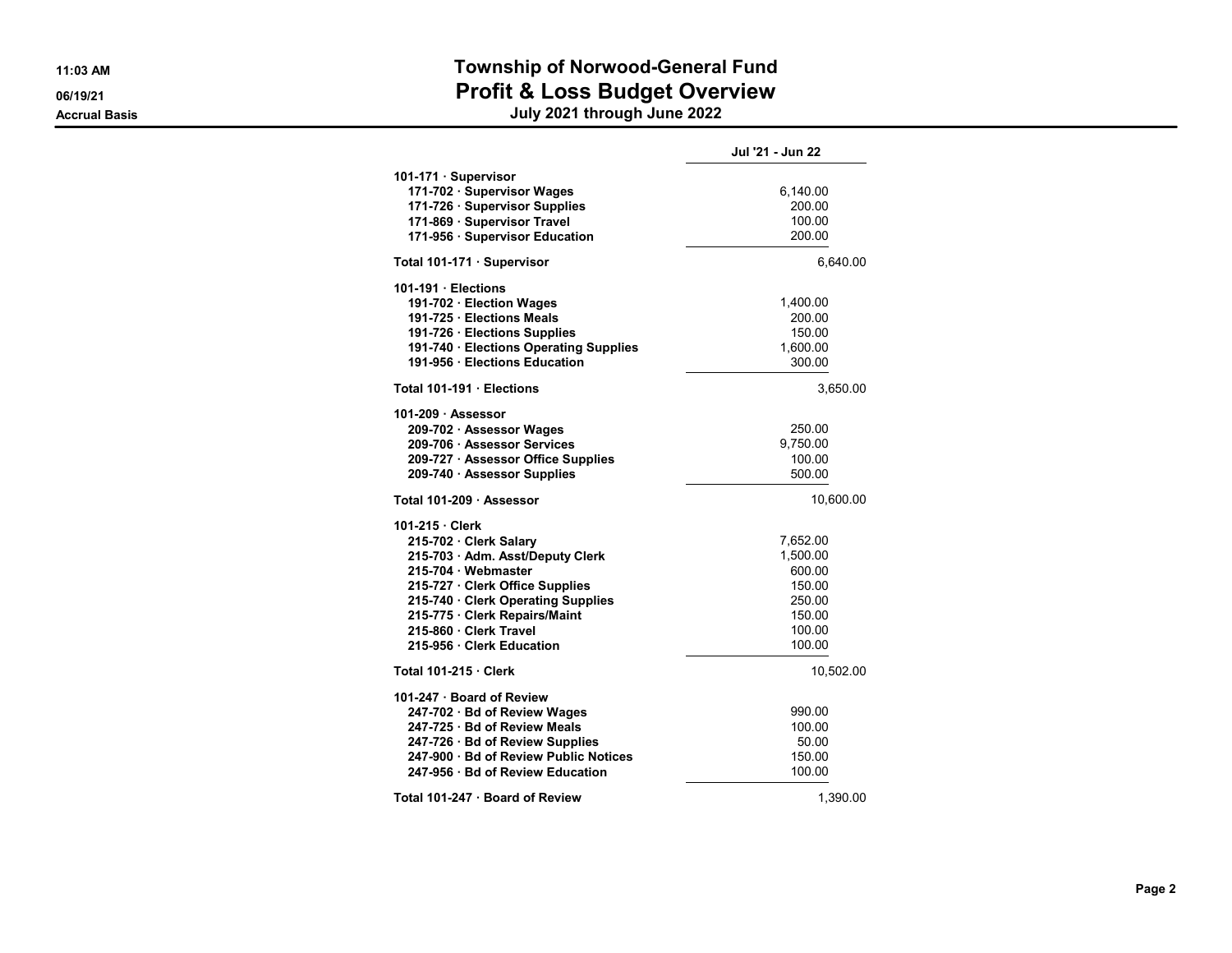### 11:03 AM Township of Norwood-General Fund 06/19/21 OG/19/21

|                                                                                                                                                                                                                                                                 | Jul '21 - Jun 22                                                                 |
|-----------------------------------------------------------------------------------------------------------------------------------------------------------------------------------------------------------------------------------------------------------------|----------------------------------------------------------------------------------|
| 101-171 · Supervisor<br>171-702 · Supervisor Wages<br>171-726 · Supervisor Supplies<br>171-869 · Supervisor Travel<br>171-956 · Supervisor Education                                                                                                            | 6,140.00<br>200.00<br>100.00<br>200.00                                           |
| Total 101-171 Supervisor                                                                                                                                                                                                                                        | 6,640.00                                                                         |
| 101-191 Elections<br>191-702 · Election Wages<br>191-725 · Elections Meals<br>191-726 · Elections Supplies<br>191-740 · Elections Operating Supplies<br>191-956 · Elections Education                                                                           | 1,400.00<br>200.00<br>150.00<br>1,600.00<br>300.00                               |
| Total 101-191 Elections                                                                                                                                                                                                                                         | 3,650.00                                                                         |
| 101-209 · Assessor<br>209-702 · Assessor Wages<br>209-706 · Assessor Services<br>209-727 · Assessor Office Supplies<br>209-740 · Assessor Supplies                                                                                                              | 250.00<br>9,750.00<br>100.00<br>500.00                                           |
| Total 101-209 · Assessor                                                                                                                                                                                                                                        | 10,600.00                                                                        |
| 101-215 Clerk<br>215-702 · Clerk Salary<br>215-703 · Adm. Asst/Deputy Clerk<br>215-704 Webmaster<br>215-727 · Clerk Office Supplies<br>215-740 Clerk Operating Supplies<br>215-775 · Clerk Repairs/Maint<br>215-860 · Clerk Travel<br>215-956 · Clerk Education | 7,652.00<br>1,500.00<br>600.00<br>150.00<br>250.00<br>150.00<br>100.00<br>100.00 |
| <b>Total 101-215 · Clerk</b>                                                                                                                                                                                                                                    | 10,502.00                                                                        |
| 101-247 · Board of Review<br>247-702 · Bd of Review Wages<br>247-725 · Bd of Review Meals<br>247-726 · Bd of Review Supplies<br>247-900 · Bd of Review Public Notices<br>247-956 · Bd of Review Education                                                       | 990.00<br>100.00<br>50.00<br>150.00<br>100.00                                    |
| Total 101-247 · Board of Review                                                                                                                                                                                                                                 | 1.390.00                                                                         |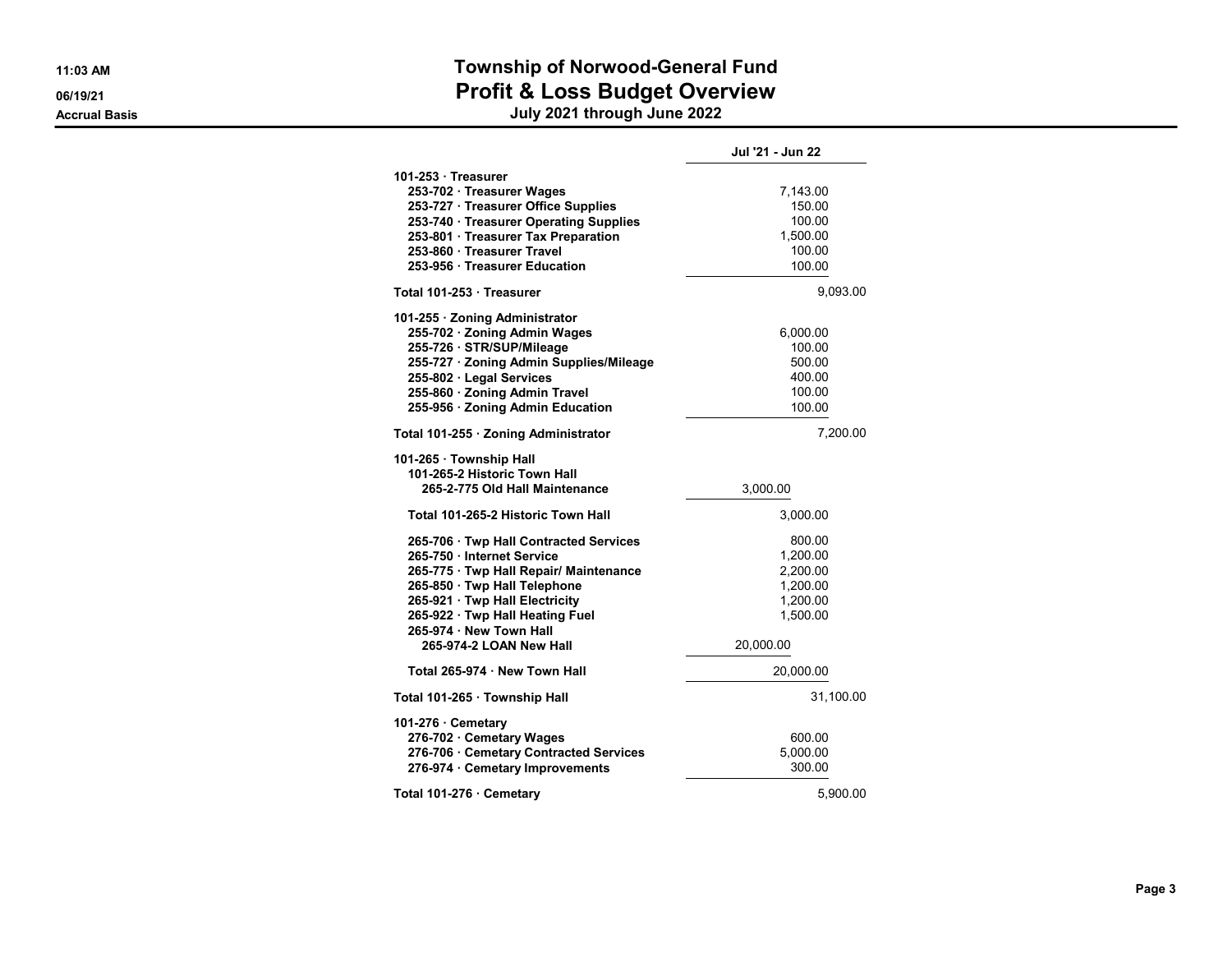### 11:03 AM Township of Norwood-General Fund 06/19/21 OG/19/21

|                                                         | Jul '21 - Jun 22 |
|---------------------------------------------------------|------------------|
| 101-253 Treasurer                                       |                  |
| 253-702 · Treasurer Wages                               | 7,143.00         |
| 253-727 · Treasurer Office Supplies                     | 150.00           |
| 253-740 · Treasurer Operating Supplies                  | 100.00           |
| 253-801 · Treasurer Tax Preparation                     | 1,500.00         |
| 253-860 · Treasurer Travel                              | 100.00           |
| 253-956 · Treasurer Education                           | 100.00           |
| Total 101-253 · Treasurer                               | 9,093.00         |
| 101-255 · Zoning Administrator                          |                  |
| 255-702 · Zoning Admin Wages                            | 6,000.00         |
| 255-726 · STR/SUP/Mileage                               | 100.00           |
| 255-727 · Zoning Admin Supplies/Mileage                 | 500.00           |
| 255-802 · Legal Services                                | 400.00           |
| 255-860 · Zoning Admin Travel                           | 100.00           |
| 255-956 · Zoning Admin Education                        | 100.00           |
| Total 101-255 · Zoning Administrator                    | 7,200.00         |
| 101-265 · Township Hall<br>101-265-2 Historic Town Hall |                  |
| 265-2-775 Old Hall Maintenance                          | 3,000.00         |
| Total 101-265-2 Historic Town Hall                      | 3,000.00         |
| 265-706 · Twp Hall Contracted Services                  | 800.00           |
| 265-750 · Internet Service                              | 1,200.00         |
| 265-775 · Twp Hall Repair/ Maintenance                  | 2.200.00         |
| 265-850 · Twp Hall Telephone                            | 1,200.00         |
| 265-921 · Twp Hall Electricity                          | 1,200.00         |
| 265-922 · Twp Hall Heating Fuel                         | 1,500.00         |
| 265-974 · New Town Hall<br>265-974-2 LOAN New Hall      | 20,000.00        |
| Total 265-974 · New Town Hall                           | 20,000.00        |
| Total 101-265 · Township Hall                           | 31,100.00        |
| 101-276 Cemetary                                        |                  |
| 276-702 · Cemetary Wages                                | 600.00           |
| 276-706 · Cemetary Contracted Services                  | 5,000.00         |
| 276-974 · Cemetary Improvements                         | 300.00           |
| Total 101-276 Cemetary                                  | 5,900.00         |